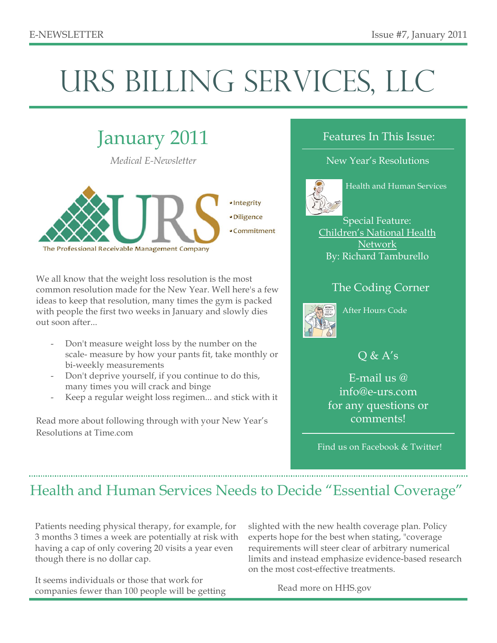# URS BILLING SERVICES, LLC



We all know that the weight loss resolution is the most common resolution made for the New Year. Well here's a few ideas to keep that resolution, many times the gym is packed with people the first two weeks in January and slowly dies out soon after...

- Don't measure weight loss by the number on the scale- measure by how your pants fit, take monthly or bi-weekly measurements
- Don't deprive yourself, if you continue to do this, many times you will crack and binge
- Keep a regular weight loss regimen... and stick with it

Read more about following through with your New Year's Resolutions at Time.com

#### Features In This Issue:

#### New Year's Resolutions



Health and Human Services

Special Feature: Children's National Health Network By: Richard Tamburello

#### The Coding Corner



After Hours Code

#### $Q & A's$

E-mail us @ info@e-urs.com for any questions or comments!

Find us on Facebook & Twitter!

### Health and Human Services Needs to Decide "Essential Coverage"

Patients needing physical therapy, for example, for 3 months 3 times a week are potentially at risk with having a cap of only covering 20 visits a year even though there is no dollar cap.

It seems individuals or those that work for companies fewer than 100 people will be getting slighted with the new health coverage plan. Policy experts hope for the best when stating, "coverage requirements will steer clear of arbitrary numerical limits and instead emphasize evidence-based research on the most cost-effective treatments.

Read more on HHS.gov